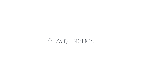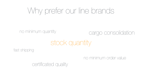# Why prefer our line brands

### no minimum quantity cargo consolidation

stock quantity

### fast shipping

### certificated quality

no minimum order value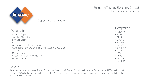### Shenzhen Topmay Electronic Co. Ltd [topmay-capacitor.com](http://topmay-capacitor.com)

Products line:

- Ceramic Capacitors
- Tantalum Capacitors
- Film Capacitors
- Film
- Aluminum Electrolytic Capacitors
- Conductive Polymer Aluminum Solid Capacitors (CS Cap)
- Varistor
- Super Capacitor
- Silicon Controlled Rectifier(SCR)
- Mica Capacitor

#### Used in:

Mouses, Keyboards, Cases, Power Supply, Lan Cards, VGA Cards, Sound Cards, Internal Fax Modems, USB Cards, 1394 Cards, TV Cards, TV Boxes, Switches, Router, ADSL MODEM, Webcams, and etc. Besides, the newly produced USB Flash Driver and MP3 series



### Capacitors manufacturing

- Rubicon
- Panasonic
- Nichicon
- EPCOS
- VISHAY
- SACON
- SAMWHA
- Murata
- AVX
- TDK,
- LELON
- JAMICON

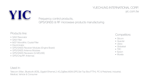### YUECHUNG INTERNATIONAL CORP. [yic.com.tw](http://yic.com.tw)

### Products line:

- SAW Resonator
- SAW Filter
- MCF Monolithic Crystal Filter
- Discriminator
- GPS/GNSS Receiver Modules (Engine Board)
- GPS/GNSS Antenna Modules
- GPS/GNSS Receivers (G-MOUSE)
- GPS/Chip/RF Antennas

### Used in:

Telecom (Wlan, Bluetooth,XDSL,Gigabit Ethernet,2.4G,ZigBee,M2M,GPS,Set Top Box,FTTH), PC & Peripheral, Industrial, Medical, Vehicle & Consumer

## Frequency control products,

GPS/GNSS & RF microwave products manufacturing

- Sitcom
- Quectel
- Ublox
- Globalsat
- TXC
- Epson
- Murata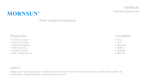### MORNSUN [mornsun-power.com](http://mornsun-power.com)

- AC/DC Converter
- DC/DC Converter
- Transceiver Module
- IGBT/LED Drive
- Isolation Amplifier
- EMC Auxiliary Device

### Products line:

### MORNSUN®

### Power module manufacturing

### Used in:

- Tracy
- Arch
- Meanwell
- Minimal
- MURATA
- RECOM



Energy, power grid, transportation, medical industry industrial control, communications industry, electric power system, rail transportation, intelligent building, automotive electronics, etc.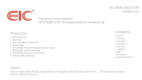### EIC SEMICONDUCTOR [eicsemi.com](http://eicsemi.com)

Products line:

- SAW Resonator
- SAW Filter
- MCF Monolithic Crystal Filter
- Discriminator
- GPS/GNSS Receiver Modules (Engine Board)
- GPS/GNSS Antenna Modules
- GPS/GNSS Receivers (G-MOUSE)
- GPS/Chip/RF Antennas
- Vishay
- Semtech
- On Semi
- Diodes Inc.
- Fairchild
- Littelfuse
- NXP
- BL Galaxy
- Semiconductors



### Used in:

Telecom (Wlan, Bluetooth,XDSL,Gigabit Ethernet,2.4G,ZigBee,M2M,GPS,Set Top Box,FTTH,.....), PC & Peripheral, Industrial, Medical, Vehicle & Consumer



### Frequency control products, GPS/GNSS & RF microwave products manufacturing